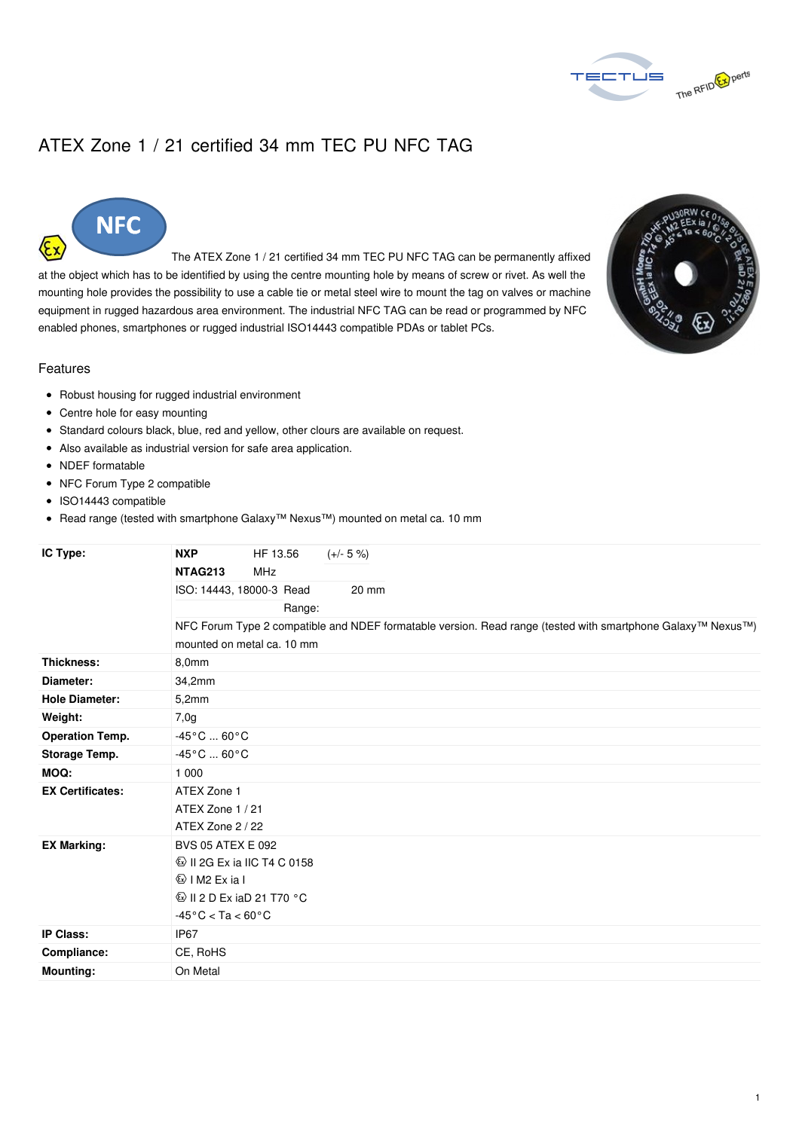

## ATEX Zone 1 / 21 certified 34 mm TEC PU NFC TAG



The ATEX Zone 1 / 21 certified 34 mm TEC PU NFC TAG can be permanently affixed at the object which has to be identified by using the centre mounting hole by means of screw or rivet. As well the mounting hole provides the possibility to use a cable tie or metal steel wire to mount the tag on valves or machine equipment in rugged hazardous area environment. The industrial NFC TAG can be read or programmed by NFC enabled phones, smartphones or rugged industrial ISO14443 compatible PDAs or tablet PCs.



## Features

- Robust housing for rugged industrial environment
- Centre hole for easy mounting
- Standard colours black, blue, red and yellow, other clours are available on request.
- Also available as industrial version for safe area application.
- NDEF formatable
- NFC Forum Type 2 compatible
- ISO14443 compatible
- Read range (tested with smartphone Galaxy™ Nexus™) mounted on metal ca. 10 mm

| IC Type:                | <b>NXP</b><br>HF 13.56<br>$(+/- 5 %)$                                                                       |
|-------------------------|-------------------------------------------------------------------------------------------------------------|
|                         | NTAG213<br><b>MHz</b>                                                                                       |
|                         | ISO: 14443, 18000-3 Read<br>20 mm                                                                           |
|                         | Range:                                                                                                      |
|                         | NFC Forum Type 2 compatible and NDEF formatable version. Read range (tested with smartphone Galaxy™ Nexus™) |
|                         | mounted on metal ca. 10 mm                                                                                  |
| Thickness:              | 8,0mm                                                                                                       |
| Diameter:               | 34,2mm                                                                                                      |
| <b>Hole Diameter:</b>   | 5,2mm                                                                                                       |
| Weight:                 | 7,0g                                                                                                        |
| <b>Operation Temp.</b>  | $-45^{\circ}$ C  60 $^{\circ}$ C                                                                            |
| Storage Temp.           | $-45^{\circ}$ C  60 $^{\circ}$ C                                                                            |
| MOQ:                    | 1 0 0 0                                                                                                     |
| <b>EX Certificates:</b> | ATEX Zone 1                                                                                                 |
|                         | ATEX Zone 1 / 21                                                                                            |
|                         | ATEX Zone 2 / 22                                                                                            |
| <b>EX Marking:</b>      | <b>BVS 05 ATEX E 092</b>                                                                                    |
|                         | <b>W</b> II 2G Ex ia IIC T4 C 0158                                                                          |
|                         | $\textcircled{k}$ IM2 Exial                                                                                 |
|                         | $\circ$ II 2 D Ex iaD 21 T70 °C                                                                             |
|                         | $-45^{\circ}$ C < Ta < 60 $^{\circ}$ C                                                                      |
| <b>IP Class:</b>        | IP67                                                                                                        |
| Compliance:             | CE, RoHS                                                                                                    |
| <b>Mounting:</b>        | On Metal                                                                                                    |
|                         |                                                                                                             |